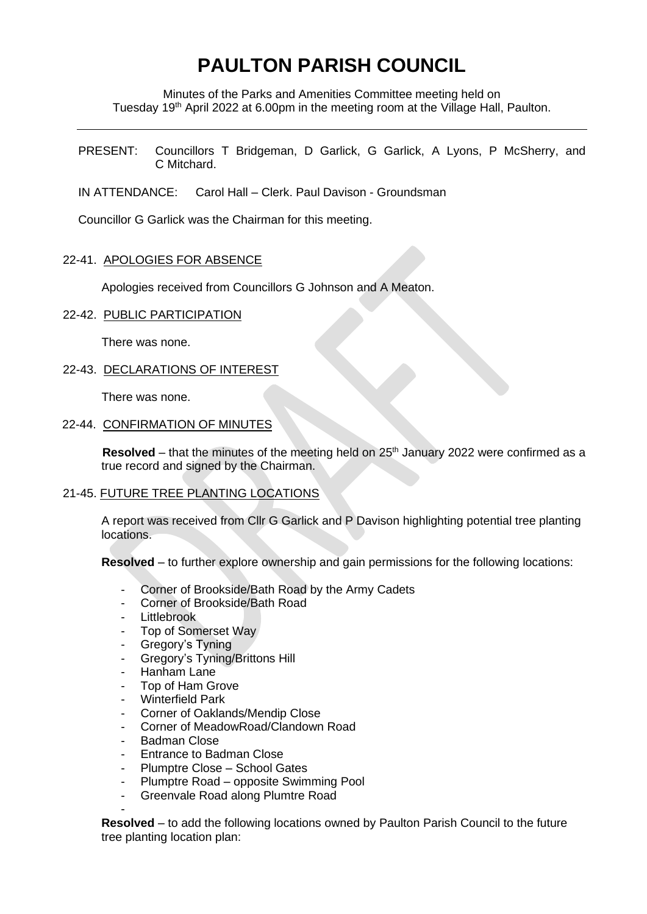# **PAULTON PARISH COUNCIL**

Minutes of the Parks and Amenities Committee meeting held on Tuesday 19<sup>th</sup> April 2022 at 6.00pm in the meeting room at the Village Hall, Paulton.

PRESENT: Councillors T Bridgeman, D Garlick, G Garlick, A Lyons, P McSherry, and C Mitchard.

IN ATTENDANCE: Carol Hall – Clerk. Paul Davison - Groundsman

Councillor G Garlick was the Chairman for this meeting.

### 22-41. APOLOGIES FOR ABSENCE

Apologies received from Councillors G Johnson and A Meaton.

#### 22-42. PUBLIC PARTICIPATION

There was none.

### 22-43. DECLARATIONS OF INTEREST

There was none.

#### 22-44. CONFIRMATION OF MINUTES

**Resolved** – that the minutes of the meeting held on  $25<sup>th</sup>$  January 2022 were confirmed as a true record and signed by the Chairman.

## 21-45. FUTURE TREE PLANTING LOCATIONS

A report was received from Cllr G Garlick and P Davison highlighting potential tree planting locations.

**Resolved** – to further explore ownership and gain permissions for the following locations:

- Corner of Brookside/Bath Road by the Army Cadets
- Corner of Brookside/Bath Road
- **Littlebrook**
- Top of Somerset Way
- Gregory's Tyning
- Gregory's Tyning/Brittons Hill
- Hanham Lane
- Top of Ham Grove
- Winterfield Park
- Corner of Oaklands/Mendip Close
- Corner of MeadowRoad/Clandown Road
- Badman Close
- Entrance to Badman Close
- Plumptre Close School Gates
- Plumptre Road opposite Swimming Pool
- Greenvale Road along Plumtre Road

- **Resolved** – to add the following locations owned by Paulton Parish Council to the future tree planting location plan: